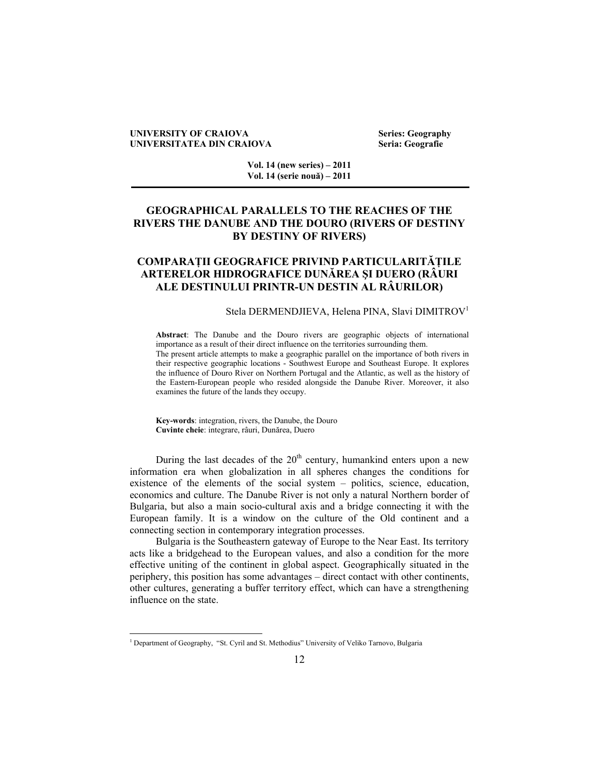#### **UNIVERSITY OF CRAIOVA** Series: Geography **UNIVERSITATEA DIN CRAIOVA Seria: Geografie**

**Vol. 14 (new series) – 2011 Vol. 14 (serie nouă) – 2011** 

# **GEOGRAPHICAL PARALLELS TO THE REACHES OF THE RIVERS THE DANUBE AND THE DOURO (RIVERS OF DESTINY BY DESTINY OF RIVERS)**

# **COMPARAŢII GEOGRAFICE PRIVIND PARTICULARITĂŢILE ARTERELOR HIDROGRAFICE DUNĂREA ŞI DUERO (RÂURI ALE DESTINULUI PRINTR-UN DESTIN AL RÂURILOR)**

### Stela DERMENDJIEVA, Helena PINA, Slavi DIMITROV<sup>1</sup>

**Abstract**: The Danube and the Douro rivers are geographic objects of international importance as a result of their direct influence on the territories surrounding them. The present article attempts to make a geographic parallel on the importance of both rivers in their respective geographic locations - Southwest Europe and Southeast Europe. It explores the influence of Douro River on Northern Portugal and the Atlantic, as well as the history of the Eastern-European people who resided alongside the Danube River. Moreover, it also examines the future of the lands they occupy.

**Key-words**: integration, rivers, the Danube, the Douro **Cuvinte cheie**: integrare, râuri, Dunărea, Duero

During the last decades of the  $20<sup>th</sup>$  century, humankind enters upon a new information era when globalization in all spheres changes the conditions for existence of the elements of the social system – politics, science, education, economics and culture. The Danube River is not only a natural Northern border of Bulgaria, but also a main socio-cultural axis and a bridge connecting it with the European family. It is a window on the culture of the Old continent and a connecting section in contemporary integration processes.

Bulgaria is the Southeastern gateway of Europe to the Near East. Its territory acts like a bridgehead to the European values, and also a condition for the more effective uniting of the continent in global aspect. Geographically situated in the periphery, this position has some advantages – direct contact with other continents, other cultures, generating a buffer territory effect, which can have a strengthening influence on the state.

 $\overline{a}$ 

<sup>&</sup>lt;sup>1</sup> Department of Geography, "St. Cyril and St. Methodius" University of Veliko Tarnovo, Bulgaria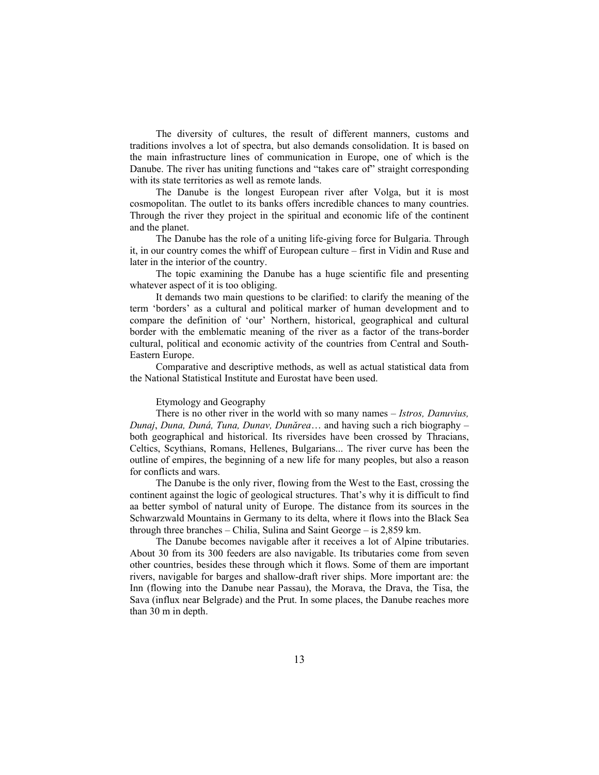The diversity of cultures, the result of different manners, customs and traditions involves a lot of spectra, but also demands consolidation. It is based on the main infrastructure lines of communication in Europe, one of which is the Danube. The river has uniting functions and "takes care of" straight corresponding with its state territories as well as remote lands.

The Danube is the longest European river after Volga, but it is most cosmopolitan. The outlet to its banks offers incredible chances to many countries. Through the river they project in the spiritual and economic life of the continent and the planet.

The Danube has the role of a uniting life-giving force for Bulgaria. Through it, in our country comes the whiff of European culture – first in Vidin and Ruse and later in the interior of the country.

The topic examining the Danube has a huge scientific file and presenting whatever aspect of it is too obliging.

It demands two main questions to be clarified: to clarify the meaning of the term 'borders' as a cultural and political marker of human development and to compare the definition of 'our' Northern, historical, geographical and cultural border with the emblematic meaning of the river as a factor of the trans-border cultural, political and economic activity of the countries from Central and South-Eastern Europe.

Comparative and descriptive methods, as well as actual statistical data from the National Statistical Institute and Eurostat have been used.

#### Etymology and Geography

There is no other river in the world with so many names – *Istros, Danuvius, Dunaj*, *Duna, Duná, Tuna, Dunav, Dunărea*… and having such a rich biography – both geographical and historical. Its riversides have been crossed by Thracians, Celtics, Scythians, Romans, Hellenes, Bulgarians... The river curve has been the outline of empires, the beginning of a new life for many peoples, but also a reason for conflicts and wars.

The Danube is the only river, flowing from the West to the East, crossing the continent against the logic of geological structures. That's why it is difficult to find aa better symbol of natural unity of Europe. The distance from its sources in the Schwarzwald Mountains in Germany to its delta, where it flows into the Black Sea through three branches – Chilia, Sulina and Saint George – is 2,859 km.

The Danube becomes navigable after it receives a lot of Alpine tributaries. About 30 from its 300 feeders are also navigable. Its tributaries come from seven other countries, besides these through which it flows. Some of them are important rivers, navigable for barges and shallow-draft river ships. More important are: the Inn (flowing into the Danube near Passau), the Morava, the Drava, the Tisa, the Sava (influx near Belgrade) and the Prut. In some places, the Danube reaches more than 30 m in depth.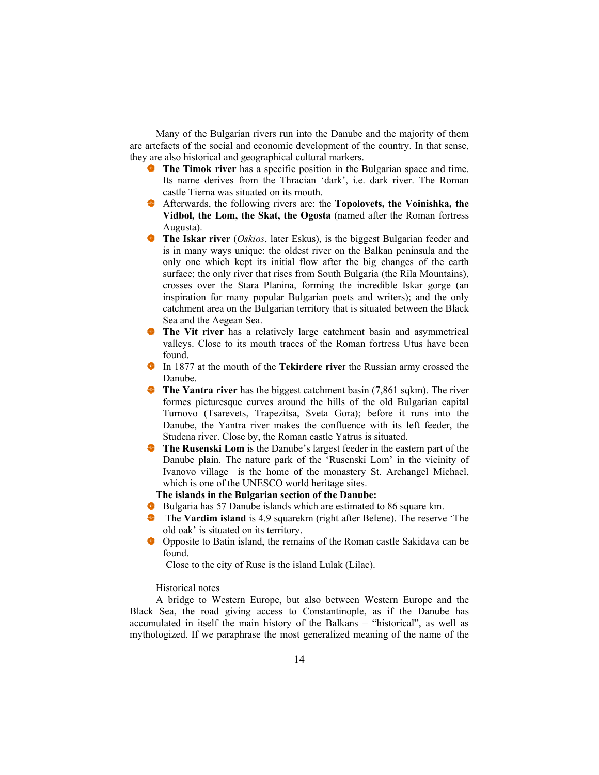Many of the Bulgarian rivers run into the Danube and the majority of them are artefacts of the social and economic development of the country. In that sense, they are also historical and geographical cultural markers.

- **The Timok river** has a specific position in the Bulgarian space and time. Its name derives from the Thracian 'dark', i.e. dark river. The Roman castle Tierna was situated on its mouth.
- Afterwards, the following rivers are: the **Topolovets, the Voinishka, the Vidbol, the Lom, the Skat, the Ogosta** (named after the Roman fortress Augusta).
- **The Iskar river** *(Oskios*, later Eskus), is the biggest Bulgarian feeder and is in many ways unique: the oldest river on the Balkan peninsula and the only one which kept its initial flow after the big changes of the earth surface; the only river that rises from South Bulgaria (the Rila Mountains), crosses over the Stara Planina, forming the incredible Iskar gorge (an inspiration for many popular Bulgarian poets and writers); and the only catchment area on the Bulgarian territory that is situated between the Black Sea and the Aegean Sea.
- **The Vit river** has a relatively large catchment basin and asymmetrical valleys. Close to its mouth traces of the Roman fortress Utus have been found.
- In 1877 at the mouth of the **Tekirdere river** the Russian army crossed the Danube.
- **The Yantra river** has the biggest catchment basin (7,861 sqkm). The river formes picturesque curves around the hills of the old Bulgarian capital Turnovo (Tsarevets, Trapezitsa, Sveta Gora); before it runs into the Danube, the Yantra river makes the confluence with its left feeder, the Studena river. Close by, the Roman castle Yatrus is situated.
- **The Rusenski Lom** is the Danube's largest feeder in the eastern part of the Danube plain. The nature park of the 'Rusenski Lom' in the vicinity of Ivanovo village is the home of the monastery St. Archangel Michael, which is one of the UNESCO world heritage sites.

# **The islands in the Bulgarian section of the Danube:**

- Bulgaria has 57 Danube islands which are estimated to 86 square km.
- ♦ The **Vardim island** is 4.9 squarekm (right after Belene). The reserve 'The old oak' is situated on its territory.
- Opposite to Batin island, the remains of the Roman castle Sakidava can be found.

Close to the city of Ruse is the island Lulak (Lilac).

# Historical notes

A bridge to Western Europe, but also between Western Europe and the Black Sea, the road giving access to Constantinople, as if the Danube has accumulated in itself the main history of the Balkans – "historical", as well as mythologized. If we paraphrase the most generalized meaning of the name of the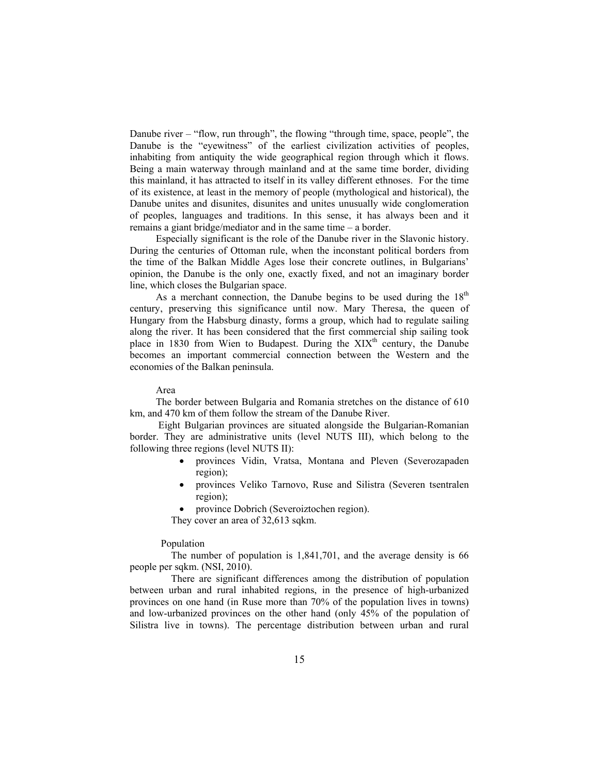Danube river – "flow, run through", the flowing "through time, space, people", the Danube is the "eyewitness" of the earliest civilization activities of peoples, inhabiting from antiquity the wide geographical region through which it flows. Being a main waterway through mainland and at the same time border, dividing this mainland, it has attracted to itself in its valley different ethnoses. For the time of its existence, at least in the memory of people (mythological and historical), the Danube unites and disunites, disunites and unites unusually wide conglomeration of peoples, languages and traditions. In this sense, it has always been and it remains a giant bridge/mediator and in the same time – a border.

Especially significant is the role of the Danube river in the Slavonic history. During the centuries of Ottoman rule, when the inconstant political borders from the time of the Balkan Middle Ages lose their concrete outlines, in Bulgarians' opinion, the Danube is the only one, exactly fixed, and not an imaginary border line, which closes the Bulgarian space.

As a merchant connection, the Danube begins to be used during the  $18<sup>th</sup>$ century, preserving this significance until now. Mary Theresa, the queen of Hungary from the Habsburg dinasty, forms a group, which had to regulate sailing along the river. It has been considered that the first commercial ship sailing took place in 1830 from Wien to Budapest. During the  $XIX<sup>th</sup>$  century, the Danube becomes an important commercial connection between the Western and the economies of the Balkan peninsula.

#### Area

The border between Bulgaria and Romania stretches on the distance of 610 km, and 470 km of them follow the stream of the Danube River.

 Eight Bulgarian provinces are situated alongside the Bulgarian-Romanian border. They are administrative units (level NUTS III), which belong to the following three regions (level NUTS II):

- provinces Vidin, Vratsa, Montana and Pleven (Severozapaden region);
- provinces Veliko Tarnovo, Ruse and Silistra (Severen tsentralen region);
- province Dobrich (Severoiztochen region).

They cover an area of 32,613 sqkm.

# Population

 The number of population is 1,841,701, and the average density is 66 people per sqkm. (NSI, 2010).

 There are significant differences among the distribution of population between urban and rural inhabited regions, in the presence of high-urbanized provinces on one hand (in Ruse more than 70% of the population lives in towns) and low-urbanized provinces on the other hand (only 45% of the population of Silistra live in towns). The percentage distribution between urban and rural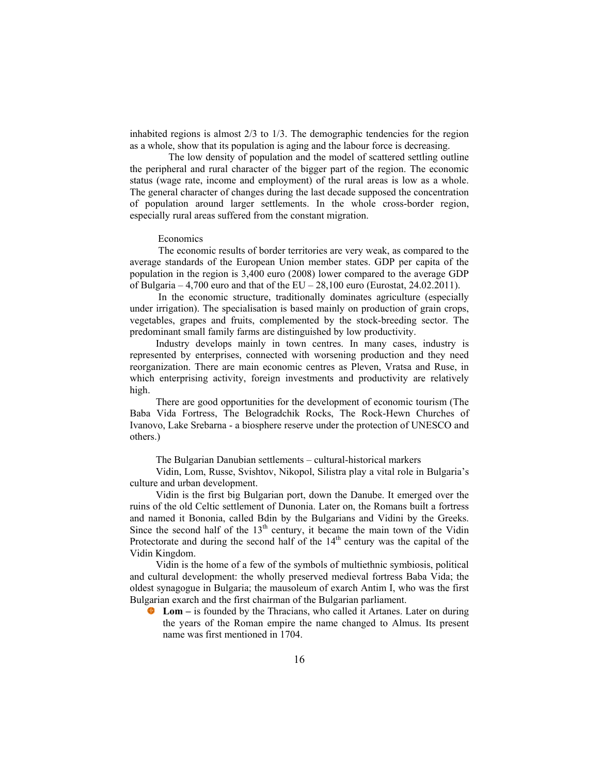inhabited regions is almost 2/3 to 1/3. The demographic tendencies for the region as a whole, show that its population is aging and the labour force is decreasing.

 The low density of population and the model of scattered settling outline the peripheral and rural character of the bigger part of the region. The economic status (wage rate, income and employment) of the rural areas is low as a whole. The general character of changes during the last decade supposed the concentration of population around larger settlements. In the whole cross-border region, especially rural areas suffered from the constant migration.

## Economics

 The economic results of border territories are very weak, as compared to the average standards of the European Union member states. GDP per capita of the population in the region is 3,400 euro (2008) lower compared to the average GDP of Bulgaria – 4,700 euro and that of the  $EU - 28,100$  euro (Eurostat, 24.02.2011).

 In the economic structure, traditionally dominates agriculture (especially under irrigation). The specialisation is based mainly on production of grain crops, vegetables, grapes and fruits, complemented by the stock-breeding sector. The predominant small family farms are distinguished by low productivity.

Industry develops mainly in town centres. In many cases, industry is represented by enterprises, connected with worsening production and they need reorganization. There are main economic centres as Pleven, Vratsa and Ruse, in which enterprising activity, foreign investments and productivity are relatively high.

There are good opportunities for the development of economic tourism (The Baba Vida Fortress, The Belogradchik Rocks, The Rock-Hewn Churches of Ivanovo, Lake Srebarna - a biosphere reserve under the protection of UNESCO and others.)

#### The Bulgarian Danubian settlements – cultural-historical markers

Vidin, Lom, Russe, Svishtov, Nikopol, Silistra play a vital role in Bulgaria's culture and urban development.

Vidin is the first big Bulgarian port, down the Danube. It emerged over the ruins of the old Celtic settlement of Dunonia. Later on, the Romans built a fortress and named it Bononia, called Bdin by the Bulgarians and Vidini by the Greeks. Since the second half of the  $13<sup>th</sup>$  century, it became the main town of the Vidin Protectorate and during the second half of the  $14<sup>th</sup>$  century was the capital of the Vidin Kingdom.

Vidin is the home of a few of the symbols of multiethnic symbiosis, political and cultural development: the wholly preserved medieval fortress Baba Vida; the oldest synagogue in Bulgaria; the mausoleum of exarch Antim I, who was the first Bulgarian exarch and the first chairman of the Bulgarian parliament.

**Lom –** is founded by the Thracians, who called it Artanes. Later on during the years of the Roman empire the name changed to Almus. Its present name was first mentioned in 1704.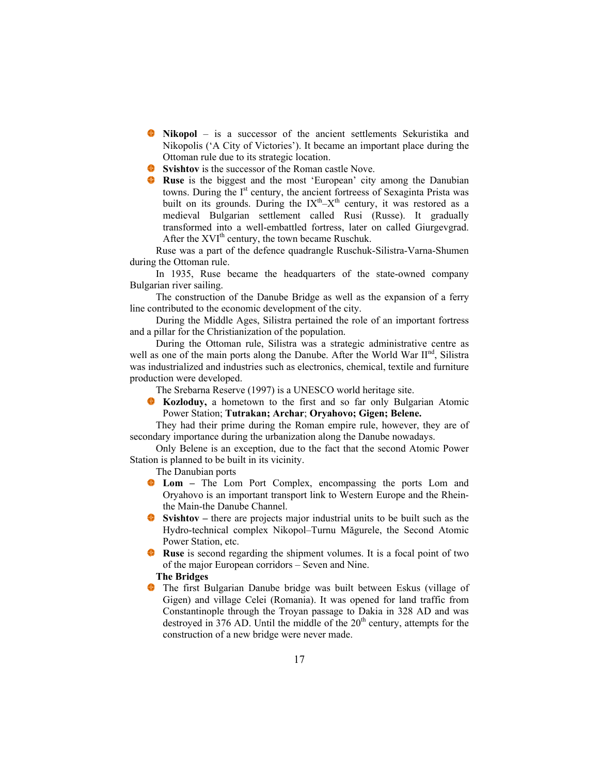- **Nikopol** is a successor of the ancient settlements Sekuristika and Nikopolis ('A City of Victories'). It became an important place during the Ottoman rule due to its strategic location.
- **Svishtov** is the successor of the Roman castle Nove.
- **Ruse** is the biggest and the most 'European' city among the Danubian towns. During the I<sup>st</sup> century, the ancient fortreess of Sexaginta Prista was built on its grounds. During the  $IX<sup>th</sup>-X<sup>th</sup>$  century, it was restored as a medieval Bulgarian settlement called Rusi (Russe). It gradually transformed into a well-embattled fortress, later on called Giurgevgrad. After the  $XVI<sup>th</sup>$  century, the town became Ruschuk.

Ruse was a part of the defence quadrangle Ruschuk-Silistra-Varna-Shumen during the Ottoman rule.

In 1935, Ruse became the headquarters of the state-owned company Bulgarian river sailing.

The construction of the Danube Bridge as well as the expansion of a ferry line contributed to the economic development of the city.

During the Middle Ages, Silistra pertained the role of an important fortress and a pillar for the Christianization of the population.

During the Ottoman rule, Silistra was a strategic administrative centre as well as one of the main ports along the Danube. After the World War II<sup>nd</sup>, Silistra was industrialized and industries such as electronics, chemical, textile and furniture production were developed.

The Srebarna Reserve (1997) is a UNESCO world heritage site.

**Kozloduy,** a hometown to the first and so far only Bulgarian Atomic Power Station; **Tutrakan; Archar**; **Оryahovo; Gigen; Belene.** 

They had their prime during the Roman empire rule, however, they are of secondary importance during the urbanization along the Danube nowadays.

Only Belene is an exception, due to the fact that the second Atomic Power Station is planned to be built in its vicinity.

The Danubian ports

- **Lom** The Lom Port Complex, encompassing the ports Lom and Oryahovo is an important transport link to Western Europe and the Rheinthe Main-the Danube Channel.
- **Svishtov** there are projects major industrial units to be built such as the Hydro-technical complex Nikopol–Turnu Măgurele, the Second Atomic Power Station, etc.
- **Ruse** is second regarding the shipment volumes. It is a focal point of two of the major European corridors – Seven and Nine.

# **The Bridges**

The first Bulgarian Danube bridge was built between Eskus (village of Gigen) and village Celei (Romania). It was opened for land traffic from Constantinople through the Troyan passage to Dakia in 328 AD and was destroyed in  $376$  AD. Until the middle of the  $20<sup>th</sup>$  century, attempts for the construction of a new bridge were never made.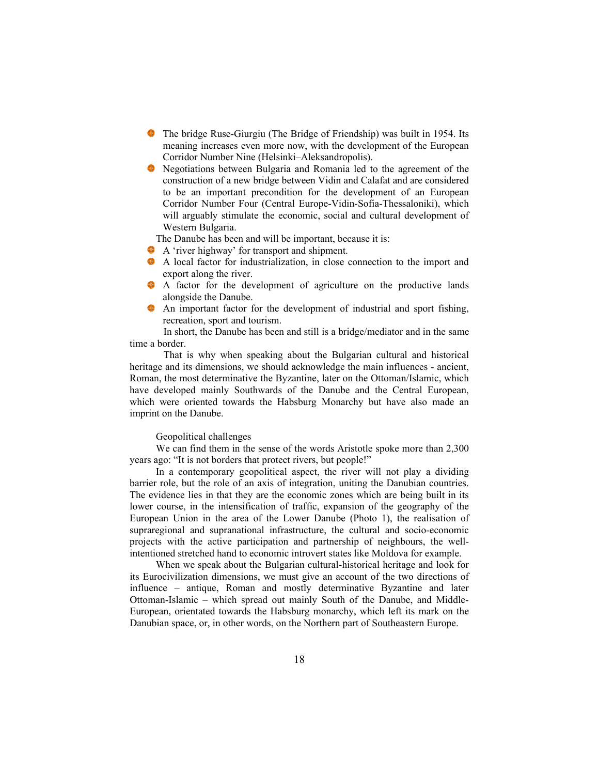- The bridge Ruse-Giurgiu (The Bridge of Friendship) was built in 1954. Its meaning increases even more now, with the development of the European Corridor Number Nine (Helsinki–Aleksandropolis).
- Negotiations between Bulgaria and Romania led to the agreement of the construction of a new bridge between Vidin and Calafat and are considered to be an important precondition for the development of an European Corridor Number Four (Central Europe-Vidin-Sofia-Thessaloniki), which will arguably stimulate the economic, social and cultural development of Western Bulgaria.

The Danube has been and will be important, because it is:

- A 'river highway' for transport and shipment.
- ٠ A local factor for industrialization, in close connection to the import and export along the river.
- A factor for the development of agriculture on the productive lands alongside the Danube.
- An important factor for the development of industrial and sport fishing, recreation, sport and tourism.

 In short, the Danube has been and still is a bridge/mediator and in the same time a border.

 That is why when speaking about the Bulgarian cultural and historical heritage and its dimensions, we should acknowledge the main influences - ancient, Roman, the most determinative the Byzantine, later on the Ottoman/Islamic, which have developed mainly Southwards of the Danube and the Central European, which were oriented towards the Habsburg Monarchy but have also made an imprint on the Danube.

# Geopolitical challenges

We can find them in the sense of the words Aristotle spoke more than 2,300 years ago: "It is not borders that protect rivers, but people!"

In a contemporary geopolitical aspect, the river will not play a dividing barrier role, but the role of an axis of integration, uniting the Danubian countries. The evidence lies in that they are the economic zones which are being built in its lower course, in the intensification of traffic, expansion of the geography of the European Union in the area of the Lower Danube (Photo 1), the realisation of supraregional and supranational infrastructure, the cultural and socio-economic projects with the active participation and partnership of neighbours, the wellintentioned stretched hand to economic introvert states like Moldova for example.

When we speak about the Bulgarian cultural-historical heritage and look for its Eurocivilization dimensions, we must give an account of the two directions of influence – antique, Roman and mostly determinative Byzantine and later Ottoman-Islamic – which spread out mainly South of the Danube, and Middle-European, orientated towards the Habsburg monarchy, which left its mark on the Danubian space, or, in other words, on the Northern part of Southeastern Europe.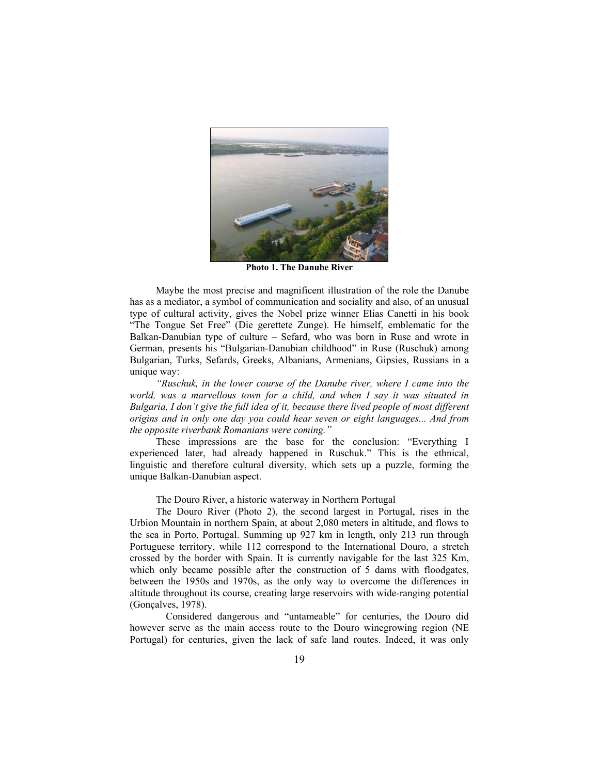

**Photo 1. The Danube River** 

Maybe the most precise and magnificent illustration of the role the Danube has as a mediator, a symbol of communication and sociality and also, of an unusual type of cultural activity, gives the Nobel prize winner Elias Canetti in his book "The Tongue Set Free" (Die gerettete Zunge). He himself, emblematic for the Balkan-Danubian type of culture – Sefard, who was born in Ruse and wrote in German, presents his "Bulgarian-Danubian childhood" in Ruse (Ruschuk) among Bulgarian, Turks, Sefards, Greeks, Albanians, Armenians, Gipsies, Russians in a unique way:

*"Ruschuk, in the lower course of the Danube river, where I came into the world, was a marvellous town for a child, and when I say it was situated in Bulgaria, I don't give the full idea of it, because there lived people of most different origins and in only one day you could hear seven or eight languages... And from the opposite riverbank Romanians were coming."* 

These impressions are the base for the conclusion: "Everything I experienced later, had already happened in Ruschuk." This is the ethnical, linguistic and therefore cultural diversity, which sets up a puzzle, forming the unique Balkan-Danubian aspect.

The Douro River, a historic waterway in Northern Portugal

The Douro River (Photo 2), the second largest in Portugal, rises in the Urbion Mountain in northern Spain, at about 2,080 meters in altitude, and flows to the sea in Porto, Portugal. Summing up 927 km in length, only 213 run through Portuguese territory, while 112 correspond to the International Douro, a stretch crossed by the border with Spain. It is currently navigable for the last 325 Km, which only became possible after the construction of 5 dams with floodgates, between the 1950s and 1970s, as the only way to overcome the differences in altitude throughout its course, creating large reservoirs with wide-ranging potential (Gonçalves, 1978).

 Considered dangerous and "untameable" for centuries, the Douro did however serve as the main access route to the Douro winegrowing region (NE Portugal) for centuries, given the lack of safe land routes. Indeed, it was only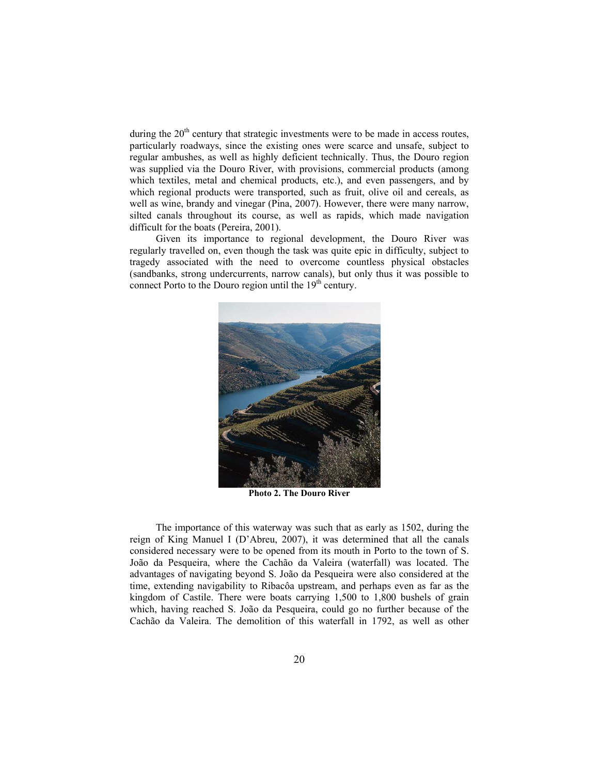during the  $20<sup>th</sup>$  century that strategic investments were to be made in access routes, particularly roadways, since the existing ones were scarce and unsafe, subject to regular ambushes, as well as highly deficient technically. Thus, the Douro region was supplied via the Douro River, with provisions, commercial products (among which textiles, metal and chemical products, etc.), and even passengers, and by which regional products were transported, such as fruit, olive oil and cereals, as well as wine, brandy and vinegar (Pina, 2007). However, there were many narrow, silted canals throughout its course, as well as rapids, which made navigation difficult for the boats (Pereira, 2001).

Given its importance to regional development, the Douro River was regularly travelled on, even though the task was quite epic in difficulty, subject to tragedy associated with the need to overcome countless physical obstacles (sandbanks, strong undercurrents, narrow canals), but only thus it was possible to connect Porto to the Douro region until the  $19<sup>th</sup>$  century.



**Photo 2. The Douro River** 

The importance of this waterway was such that as early as 1502, during the reign of King Manuel I (D'Abreu, 2007), it was determined that all the canals considered necessary were to be opened from its mouth in Porto to the town of S. João da Pesqueira, where the Cachão da Valeira (waterfall) was located. The advantages of navigating beyond S. João da Pesqueira were also considered at the time, extending navigability to Ribacôa upstream, and perhaps even as far as the kingdom of Castile. There were boats carrying 1,500 to 1,800 bushels of grain which, having reached S. João da Pesqueira, could go no further because of the Cachão da Valeira. The demolition of this waterfall in 1792, as well as other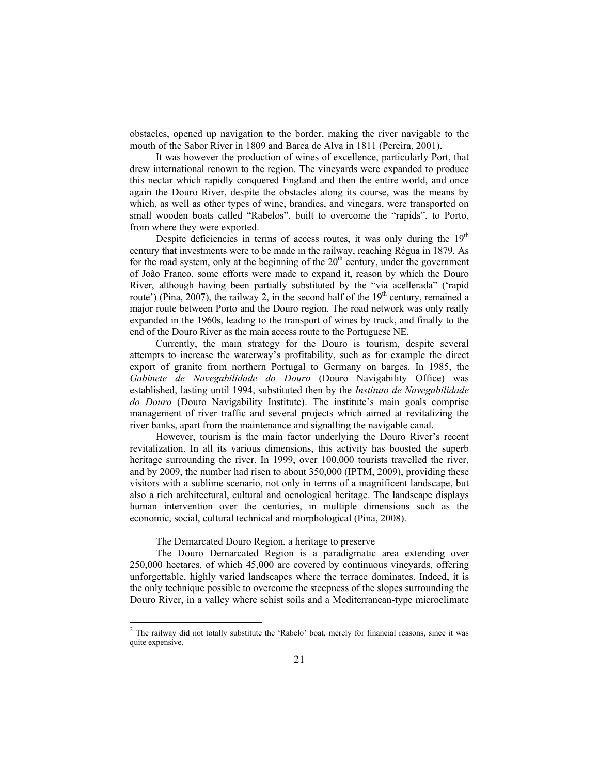obstacles, opened up navigation to the border, making the river navigable to the mouth of the Sabor River in 1809 and Barca de Alva in 1811 (Pereira, 2001).

It was however the production of wines of excellence, particularly Port, that drew international renown to the region. The vineyards were expanded to produce this nectar which rapidly conquered England and then the entire world, and once again the Douro River, despite the obstacles along its course, was the means by which, as well as other types of wine, brandies, and vinegars, were transported on small wooden boats called "Rabelos", built to overcome the "rapids", to Porto, from where they were exported.

Despite deficiencies in terms of access routes, it was only during the  $19<sup>th</sup>$ century that investments were to be made in the railway, reaching Régua in 1879. As for the road system, only at the beginning of the  $20<sup>th</sup>$  century, under the government of João Franco, some efforts were made to expand it, reason by which the Douro River, although having been partially substituted by the "via acellerada" ('rapid route') (Pina, 2007), the railway 2, in the second half of the  $19<sup>th</sup>$  century, remained a major route between Porto and the Douro region. The road network was only really expanded in the 1960s, leading to the transport of wines by truck, and finally to the end of the Douro River as the main access route to the Portuguese NE.

Currently, the main strategy for the Douro is tourism, despite several attempts to increase the waterway's profitability, such as for example the direct export of granite from northern Portugal to Germany on barges. In 1985, the *Gabinete de Navegabilidade do Douro* (Douro Navigability Office) was established, lasting until 1994, substituted then by the *Instituto de Navegabilidade do Douro* (Douro Navigability Institute). The institute's main goals comprise management of river traffic and several projects which aimed at revitalizing the river banks, apart from the maintenance and signalling the navigable canal.

However, tourism is the main factor underlying the Douro River's recent revitalization. In all its various dimensions, this activity has boosted the superb heritage surrounding the river. In 1999, over 100,000 tourists travelled the river, and by 2009, the number had risen to about 350,000 (IPTM, 2009), providing these visitors with a sublime scenario, not only in terms of a magnificent landscape, but also a rich architectural, cultural and oenological heritage. The landscape displays human intervention over the centuries, in multiple dimensions such as the economic, social, cultural technical and morphological (Pina, 2008).

The Demarcated Douro Region, a heritage to preserve

 $\overline{a}$ 

The Douro Demarcated Region is a paradigmatic area extending over 250,000 hectares, of which 45,000 are covered by continuous vineyards, offering unforgettable, highly varied landscapes where the terrace dominates. Indeed, it is the only technique possible to overcome the steepness of the slopes surrounding the Douro River, in a valley where schist soils and a Mediterranean-type microclimate

 $2$  The railway did not totally substitute the 'Rabelo' boat, merely for financial reasons, since it was quite expensive.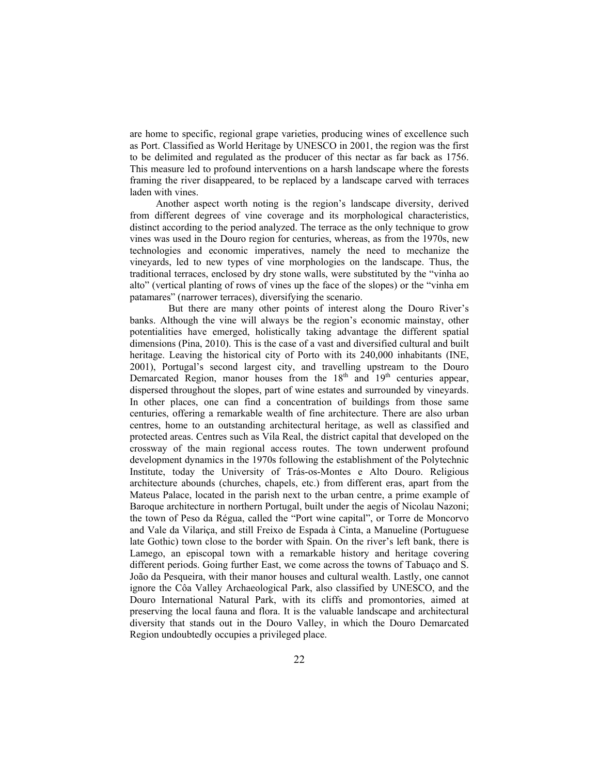are home to specific, regional grape varieties, producing wines of excellence such as Port. Classified as World Heritage by UNESCO in 2001, the region was the first to be delimited and regulated as the producer of this nectar as far back as 1756. This measure led to profound interventions on a harsh landscape where the forests framing the river disappeared, to be replaced by a landscape carved with terraces laden with vines.

Another aspect worth noting is the region's landscape diversity, derived from different degrees of vine coverage and its morphological characteristics, distinct according to the period analyzed. The terrace as the only technique to grow vines was used in the Douro region for centuries, whereas, as from the 1970s, new technologies and economic imperatives, namely the need to mechanize the vineyards, led to new types of vine morphologies on the landscape. Thus, the traditional terraces, enclosed by dry stone walls, were substituted by the "vinha ao alto" (vertical planting of rows of vines up the face of the slopes) or the "vinha em patamares" (narrower terraces), diversifying the scenario.

 But there are many other points of interest along the Douro River's banks. Although the vine will always be the region's economic mainstay, other potentialities have emerged, holistically taking advantage the different spatial dimensions (Pina, 2010). This is the case of a vast and diversified cultural and built heritage. Leaving the historical city of Porto with its 240,000 inhabitants (INE, 2001), Portugal's second largest city, and travelling upstream to the Douro Demarcated Region, manor houses from the  $18<sup>th</sup>$  and  $19<sup>th</sup>$  centuries appear, dispersed throughout the slopes, part of wine estates and surrounded by vineyards. In other places, one can find a concentration of buildings from those same centuries, offering a remarkable wealth of fine architecture. There are also urban centres, home to an outstanding architectural heritage, as well as classified and protected areas. Centres such as Vila Real, the district capital that developed on the crossway of the main regional access routes. The town underwent profound development dynamics in the 1970s following the establishment of the Polytechnic Institute, today the University of Trás-os-Montes e Alto Douro. Religious architecture abounds (churches, chapels, etc.) from different eras, apart from the Mateus Palace, located in the parish next to the urban centre, a prime example of Baroque architecture in northern Portugal, built under the aegis of Nicolau Nazoni; the town of Peso da Régua, called the "Port wine capital", or Torre de Moncorvo and Vale da Vilariça, and still Freixo de Espada à Cinta, a Manueline (Portuguese late Gothic) town close to the border with Spain. On the river's left bank, there is Lamego, an episcopal town with a remarkable history and heritage covering different periods. Going further East, we come across the towns of Tabuaço and S. João da Pesqueira, with their manor houses and cultural wealth. Lastly, one cannot ignore the Côa Valley Archaeological Park, also classified by UNESCO, and the Douro International Natural Park, with its cliffs and promontories, aimed at preserving the local fauna and flora. It is the valuable landscape and architectural diversity that stands out in the Douro Valley, in which the Douro Demarcated Region undoubtedly occupies a privileged place.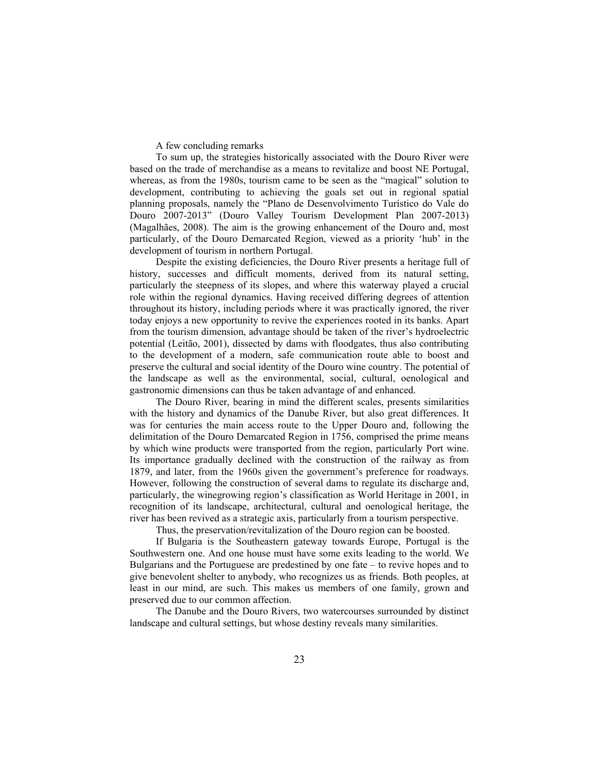A few concluding remarks

To sum up, the strategies historically associated with the Douro River were based on the trade of merchandise as a means to revitalize and boost NE Portugal, whereas, as from the 1980s, tourism came to be seen as the "magical" solution to development, contributing to achieving the goals set out in regional spatial planning proposals, namely the "Plano de Desenvolvimento Turístico do Vale do Douro 2007-2013" (Douro Valley Tourism Development Plan 2007-2013) (Magalhães, 2008). The aim is the growing enhancement of the Douro and, most particularly, of the Douro Demarcated Region, viewed as a priority 'hub' in the development of tourism in northern Portugal.

Despite the existing deficiencies, the Douro River presents a heritage full of history, successes and difficult moments, derived from its natural setting, particularly the steepness of its slopes, and where this waterway played a crucial role within the regional dynamics. Having received differing degrees of attention throughout its history, including periods where it was practically ignored, the river today enjoys a new opportunity to revive the experiences rooted in its banks. Apart from the tourism dimension, advantage should be taken of the river's hydroelectric potential (Leitão, 2001), dissected by dams with floodgates, thus also contributing to the development of a modern, safe communication route able to boost and preserve the cultural and social identity of the Douro wine country. The potential of the landscape as well as the environmental, social, cultural, oenological and gastronomic dimensions can thus be taken advantage of and enhanced.

The Douro River, bearing in mind the different scales, presents similarities with the history and dynamics of the Danube River, but also great differences. It was for centuries the main access route to the Upper Douro and, following the delimitation of the Douro Demarcated Region in 1756, comprised the prime means by which wine products were transported from the region, particularly Port wine. Its importance gradually declined with the construction of the railway as from 1879, and later, from the 1960s given the government's preference for roadways. However, following the construction of several dams to regulate its discharge and, particularly, the winegrowing region's classification as World Heritage in 2001, in recognition of its landscape, architectural, cultural and oenological heritage, the river has been revived as a strategic axis, particularly from a tourism perspective.

Thus, the preservation/revitalization of the Douro region can be boosted.

If Bulgaria is the Southeastern gateway towards Europe, Portugal is the Southwestern one. And one house must have some exits leading to the world. We Bulgarians and the Portuguese are predestined by one fate – to revive hopes and to give benevolent shelter to anybody, who recognizes us as friends. Both peoples, at least in our mind, are such. This makes us members of one family, grown and preserved due to our common affection.

The Danube and the Douro Rivers, two watercourses surrounded by distinct landscape and cultural settings, but whose destiny reveals many similarities.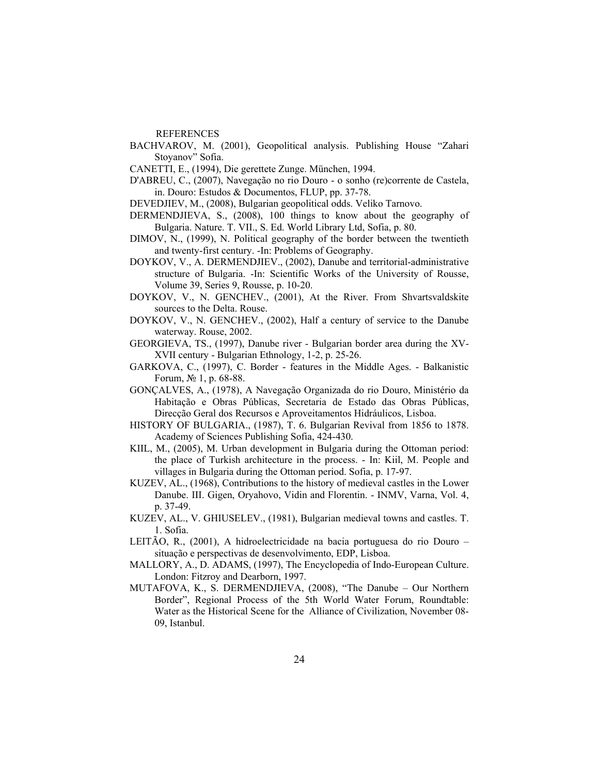#### REFERENCES

- BACHVAROV, M. (2001), Geopolitical analysis. Publishing House "Zahari Stoyanov" Sofia.
- CANETTI, E., (1994), Die gerettete Zunge. München, 1994.
- D'ABREU, C., (2007), Navegação no rio Douro o sonho (re)corrente de Castela, in. Douro: Estudos & Documentos, FLUP, pp. 37-78.
- DEVEDJIEV, M., (2008), Bulgarian geopolitical odds. Veliko Tarnovo.
- DERMENDJIEVA, S., (2008), 100 things to know about the geography of Bulgaria. Nature. T. VII., S. Ed. World Library Ltd, Sofia, p. 80.
- DIMOV, N., (1999), N. Political geography of the border between the twentieth and twenty-first century. -In: Problems of Geography.
- DOYKOV, V., A. DERMENDJIEV., (2002), Danube and territorial-administrative structure of Bulgaria. -In: Scientific Works of the University of Rousse, Volume 39, Series 9, Rousse, p. 10-20.
- DOYKOV, V., N. GENCHEV., (2001), At the River. From Shvartsvaldskite sources to the Delta. Rouse.
- DOYKOV, V., N. GENCHEV., (2002), Half a century of service to the Danube waterway. Rouse, 2002.
- GEORGIEVA, TS., (1997), Danube river Bulgarian border area during the XV-XVII century - Bulgarian Ethnology, 1-2, р. 25-26.
- GARKOVA, C., (1997), C. Border features in the Middle Ages. Balkanistic Forum, № 1, p. 68-88.
- GONÇALVES, A., (1978), A Navegação Organizada do rio Douro, Ministério da Habitação e Obras Públicas, Secretaria de Estado das Obras Públicas, Direcção Geral dos Recursos e Aproveitamentos Hidráulicos, Lisboa.
- HISTORY OF BULGARIA., (1987), T. 6. Bulgarian Revival from 1856 to 1878. Academy of Sciences Publishing Sofia, 424-430.
- KIIL, M., (2005), M. Urban development in Bulgaria during the Ottoman period: the place of Turkish architecture in the process. - In: Kiil, M. People and villages in Bulgaria during the Ottoman period. Sofia, p. 17-97.
- KUZEV, AL., (1968), Contributions to the history of medieval castles in the Lower Danube. III. Gigen, Oryahovo, Vidin and Florentin. - INMV, Varna, Vol. 4, p. 37-49.
- KUZEV, AL., V. GHIUSELEV., (1981), Bulgarian medieval towns and castles. T. 1. Sofia.
- LEITÃO, R., (2001), A hidroelectricidade na bacia portuguesa do rio Douro situação e perspectivas de desenvolvimento, EDP, Lisboa.
- MALLORY, A., D. ADAMS, (1997), The Encyclopedia of Indo-European Culture. London: Fitzroy and Dearborn, 1997.
- MUTAFOVA, K., S. DERMENDJIEVA, (2008), "The Danube Our Northern Border", Regional Process of the 5th World Water Forum, Roundtable: Water as the Historical Scene for the Alliance of Civilization, November 08- 09, Istanbul.